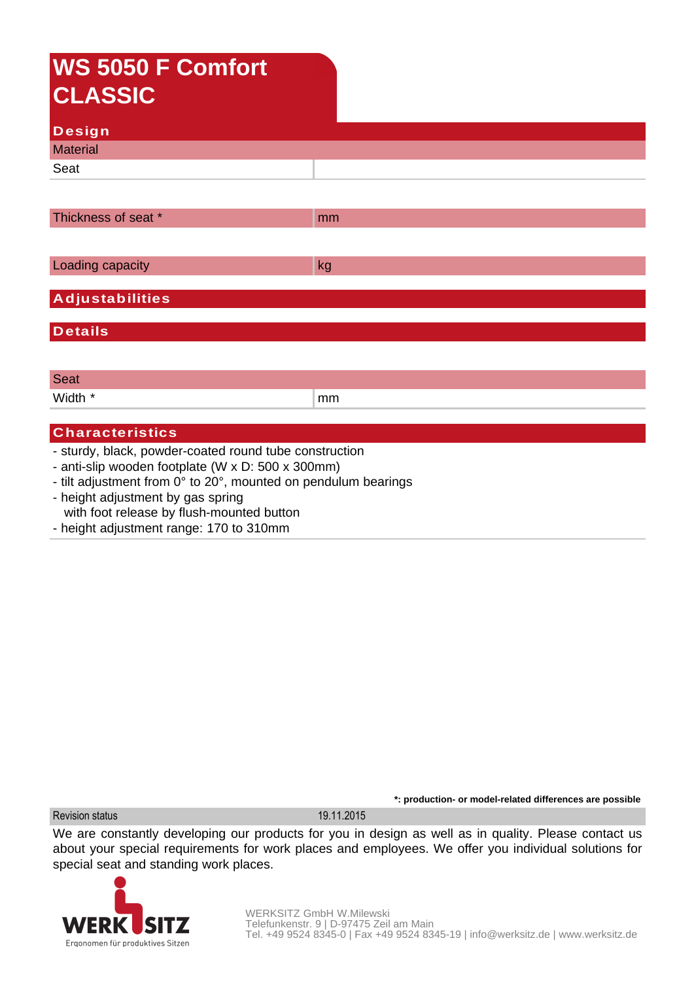## **WS 5050 F Comfort CLASSIC**

| Design          |  |
|-----------------|--|
| <b>Material</b> |  |
| Seat            |  |
|                 |  |

| mm                     |  |
|------------------------|--|
|                        |  |
| kg                     |  |
|                        |  |
| <b>Adjustabilities</b> |  |
|                        |  |

**Details**

Seat Width  $*$  mm  $mm$ 

## **Characteristics**

- sturdy, black, powder-coated round tube construction
- anti-slip wooden footplate (W x D: 500 x 300mm)
- tilt adjustment from 0° to 20°, mounted on pendulum bearings
- height adjustment by gas spring with foot release by flush-mounted button
- height adjustment range: 170 to 310mm

**\*: production- or model-related differences are possible** Revision status 19.11.2015

We are constantly developing our products for you in design as well as in quality. Please contact us about your special requirements for work places and employees. We offer you individual solutions for special seat and standing work places.